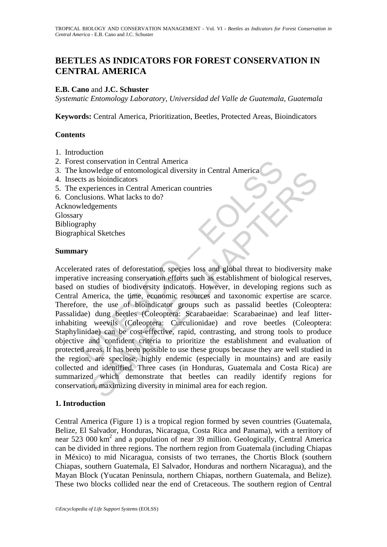# **BEETLES AS INDICATORS FOR FOREST CONSERVATION IN CENTRAL AMERICA**

### **E.B. Cano** and **J.C. Schuster**

*Systematic Entomology Laboratory, Universidad del Valle de Guatemala, Guatemala*

**Keywords:** Central America, Prioritization, Beetles, Protected Areas, Bioindicators

#### **Contents**

- 1. Introduction
- 2. Forest conservation in Central America
- 3. The knowledge of entomological diversity in Central America
- 4. Insects as bioindicators
- 5. The experiences in Central American countries
- 6. Conclusions. What lacks to do?

Acknowledgements **Glossary** Bibliography Biographical Sketches

#### **Summary**

st conservation in Central America<br>
Experiences of entomological diversity in Central America<br>
Experiences in Central American countries<br>
experiences in Central American countries<br>
Elusions. What lacks to do?<br>
Velogements<br> Weede of entomological alversity in Central America<br>
as bioindicators<br>
and bioinciators<br>
standardors. What lacks to do?<br>
Igements<br>
sions. What lacks to do?<br>
Igements<br>
increasing consecution efforts such as establishment of Accelerated rates of deforestation, species loss and global threat to biodiversity make imperative increasing conservation efforts such as establishment of biological reserves, based on studies of biodiversity indicators. However, in developing regions such as Central America, the time, economic resources and taxonomic expertise are scarce. Therefore, the use of bioindicator groups such as passalid beetles (Coleoptera: Passalidae) dung beetles (Coleoptera: Scarabaeidae: Scarabaeinae) and leaf litterinhabiting weevils (Coleoptera: Curculionidae) and rove beetles (Coleoptera: Staphylinidae) can be cost-effective, rapid, contrasting, and strong tools to produce objective and confident criteria to prioritize the establishment and evaluation of protected areas. It has been possible to use these groups because they are well studied in the region, are speciose, highly endemic (especially in mountains) and are easily collected and identified. Three cases (in Honduras, Guatemala and Costa Rica) are summarized which demonstrate that beetles can readily identify regions for conservation, maximizing diversity in minimal area for each region.

#### **1. Introduction**

Central America (Figure 1) is a tropical region formed by seven countries (Guatemala, Belize, El Salvador, Honduras, Nicaragua, Costa Rica and Panama), with a territory of near 523 000 km<sup>2</sup> and a population of near 39 million. Geologically, Central America can be divided in three regions. The northern region from Guatemala (including Chiapas in México) to mid Nicaragua, consists of two terranes, the Chortis Block (southern Chiapas, southern Guatemala, El Salvador, Honduras and northern Nicaragua), and the Mayan Block (Yucatan Peninsula, northern Chiapas, northern Guatemala, and Belize). These two blocks collided near the end of Cretaceous. The southern region of Central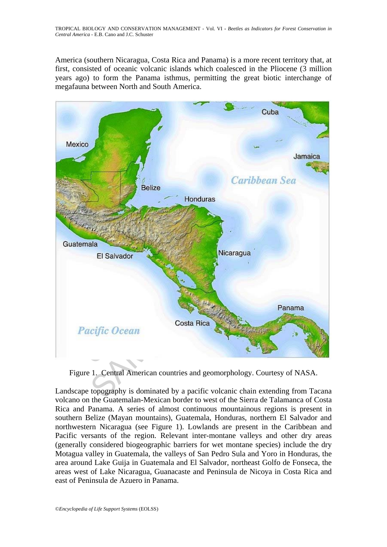America (southern Nicaragua, Costa Rica and Panama) is a more recent territory that, at first, consisted of oceanic volcanic islands which coalesced in the Pliocene (3 million years ago) to form the Panama isthmus, permitting the great biotic interchange of megafauna between North and South America.



Figure 1. Central American countries and geomorphology. Courtesy of NASA.

Landscape topography is dominated by a pacific volcanic chain extending from Tacana volcano on the Guatemalan-Mexican border to west of the Sierra de Talamanca of Costa Rica and Panama. A series of almost continuous mountainous regions is present in southern Belize (Mayan mountains), Guatemala, Honduras, northern El Salvador and northwestern Nicaragua (see Figure 1). Lowlands are present in the Caribbean and Pacific versants of the region. Relevant inter-montane valleys and other dry areas (generally considered biogeographic barriers for wet montane species) include the dry Motagua valley in Guatemala, the valleys of San Pedro Sula and Yoro in Honduras, the area around Lake Guija in Guatemala and El Salvador, northeast Golfo de Fonseca, the areas west of Lake Nicaragua, Guanacaste and Peninsula de Nicoya in Costa Rica and east of Peninsula de Azuero in Panama.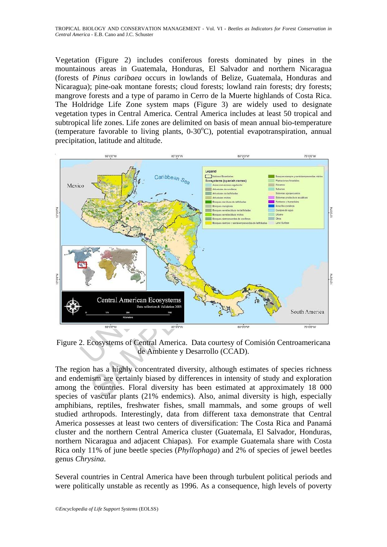Vegetation (Figure 2) includes coniferous forests dominated by pines in the mountainous areas in Guatemala, Honduras, El Salvador and northern Nicaragua (forests of *Pinus caribaea* occurs in lowlands of Belize, Guatemala, Honduras and Nicaragua); pine-oak montane forests; cloud forests; lowland rain forests; dry forests; mangrove forests and a type of paramo in Cerro de la Muerte highlands of Costa Rica. The Holdridge Life Zone system maps (Figure 3) are widely used to designate vegetation types in Central America. Central America includes at least 50 tropical and subtropical life zones. Life zones are delimited on basis of mean annual bio-temperature (temperature favorable to living plants,  $0\n-30^{\circ}$ C), potential evapotranspiration, annual precipitation, latitude and altitude.



Figure 2. Ecosystems of Central America. Data courtesy of Comisión Centroamericana de Ambiente y Desarrollo (CCAD).

The region has a highly concentrated diversity, although estimates of species richness and endemism are certainly biased by differences in intensity of study and exploration among the countries. Floral diversity has been estimated at approximately 18 000 species of vascular plants (21% endemics). Also, animal diversity is high, especially amphibians, reptiles, freshwater fishes, small mammals, and some groups of well studied arthropods. Interestingly, data from different taxa demonstrate that Central America possesses at least two centers of diversification: The Costa Rica and Panamá cluster and the northern Central America cluster (Guatemala, El Salvador, Honduras, northern Nicaragua and adjacent Chiapas). For example Guatemala share with Costa Rica only 11% of june beetle species (*Phyllophaga*) and 2% of species of jewel beetles genus *Chrysina*.

Several countries in Central America have been through turbulent political periods and were politically unstable as recently as 1996. As a consequence, high levels of poverty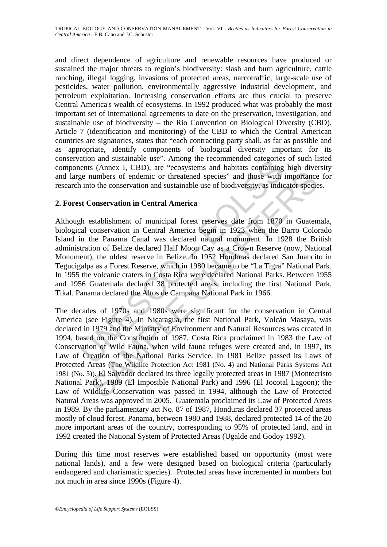and direct dependence of agriculture and renewable resources have produced or sustained the major threats to region's biodiversity: slash and burn agriculture, cattle ranching, illegal logging, invasions of protected areas, narcotraffic, large-scale use of pesticides, water pollution, environmentally aggressive industrial development, and petroleum exploitation. Increasing conservation efforts are thus crucial to preserve Central America's wealth of ecosystems. In 1992 produced what was probably the most important set of international agreements to date on the preservation, investigation, and sustainable use of biodiversity – the Rio Convention on Biological Diversity (CBD). Article 7 (identification and monitoring) of the CBD to which the Central American countries are signatories, states that "each contracting party shall, as far as possible and as appropriate, identify components of biological diversity important for its conservation and sustainable use". Among the recommended categories of such listed components (Annex I, CBD), are "ecosystems and habitats containing high diversity and large numbers of endemic or threatened species" and those with importance for research into the conservation and sustainable use of biodiversity, as indicator species.

#### **2. Forest Conservation in Central America**

ation and sustainable use . Almong the recommention date and sustainable and state are the state in the conservation and sustainable use of biodiversity, as indicents (Annex I, CBD), are "cocoystems and habitats containing Although establishment of municipal forest reserves date from 1870 in Guatemala, biological conservation in Central America begin in 1923 when the Barro Colorado Island in the Panama Canal was declared natural monument. In 1928 the British administration of Belize declared Half Moon Cay as a Crown Reserve (now, National Monument), the oldest reserve in Belize. In 1952 Honduras declared San Juancito in Tegucigalpa as a Forest Reserve, which in 1980 became to be "La Tigra" National Park. In 1955 the volcanic craters in Costa Rica were declared National Parks. Between 1955 and 1956 Guatemala declared 38 protected areas, including the first National Park, Tikal. Panama declared the Altos de Campana National Park in 1966.

numbers of endemic or threatened species" and those with importance<br>to the conservation and sustainable use of biodiversity, as indicator specie<br>Conservation in Central America<br>establishment of municipal forest reserves da The decades of 1970s and 1980s were significant for the conservation in Central America (see Figure 4). In Nicaragua, the first National Park, Volcán Masaya, was declared in 1979 and the Ministry of Environment and Natural Resources was created in 1994, based on the Constitution of 1987. Costa Rica proclaimed in 1983 the Law of Conservation of Wild Fauna, when wild fauna refuges were created and, in 1997, its Law of Creation of the National Parks Service. In 1981 Belize passed its Laws of Protected Areas (The Wildlife Protection Act 1981 (No. 4) and National Parks Systems Act 1981 (No. 5)). El Salvador declared its three legally protected areas in 1987 (Montecristo National Park), 1989 (El Imposible National Park) and 1996 (El Jocotal Lagoon); the Law of Wildlife Conservation was passed in 1994, although the Law of Protected Natural Areas was approved in 2005. Guatemala proclaimed its Law of Protected Areas in 1989. By the parliamentary act No. 87 of 1987, Honduras declared 37 protected areas mostly of cloud forest. Panama, between 1980 and 1988, declared protected 14 of the 20 more important areas of the country, corresponding to 95% of protected land, and in 1992 created the National System of Protected Areas (Ugalde and Godoy 1992).

During this time most reserves were established based on opportunity (most were national lands), and a few were designed based on biological criteria (particularly endangered and charismatic species). Protected areas have incremented in numbers but not much in area since 1990s (Figure 4).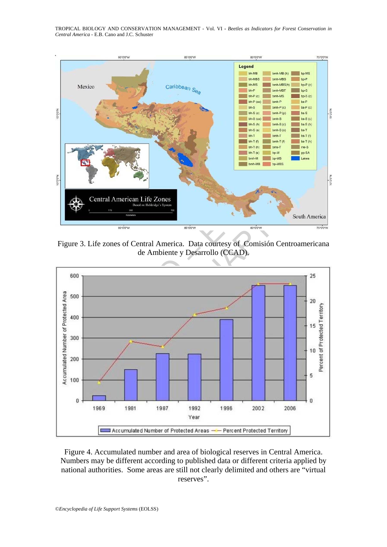TROPICAL BIOLOGY AND CONSERVATION MANAGEMENT - Vol. VI **-** *Beetles as Indicators for Forest Conservation in Central America* - E.B. Cano and J.C. Schuster



Figure 3. Life zones of Central America. Data courtesy of Comisión Centroamericana de Ambiente y Desarrollo (CCAD).



Figure 4. Accumulated number and area of biological reserves in Central America. Numbers may be different according to published data or different criteria applied by national authorities. Some areas are still not clearly delimited and others are "virtual reserves".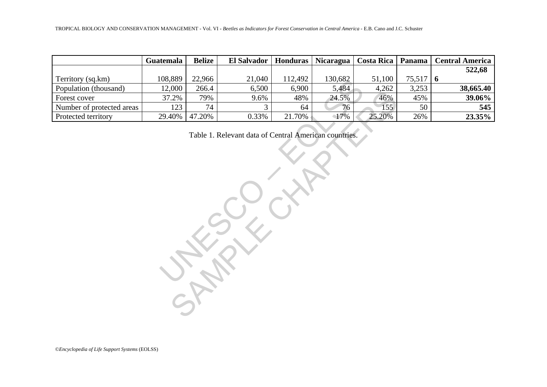| TROPICAL BIOLOGY AND CONSERVATION MANAGEMENT - Vol. VI - Beetles as Indicators for Forest Conservation in Central America - E.B. Cano and J.C. Schuster |           |               |                |                 |           |                   |        |                        |  |  |  |  |  |  |  |  |  |
|---------------------------------------------------------------------------------------------------------------------------------------------------------|-----------|---------------|----------------|-----------------|-----------|-------------------|--------|------------------------|--|--|--|--|--|--|--|--|--|
|                                                                                                                                                         |           |               |                |                 |           |                   |        |                        |  |  |  |  |  |  |  |  |  |
|                                                                                                                                                         | Guatemala | <b>Belize</b> | El Salvador    | <b>Honduras</b> | Nicaragua | <b>Costa Rica</b> | Panama | <b>Central America</b> |  |  |  |  |  |  |  |  |  |
|                                                                                                                                                         |           |               |                |                 |           |                   |        | 522,68                 |  |  |  |  |  |  |  |  |  |
| Territory (sq.km)                                                                                                                                       | 108,889   | 22,966        | 21,040         | 112,492         | 130,682   | 51,100            | 75,517 | 6                      |  |  |  |  |  |  |  |  |  |
| Population (thousand)                                                                                                                                   | 12,000    | 266.4         | 6,500          | 6,900           | 5,484     | 4,262             | 3,253  | 38,665.40              |  |  |  |  |  |  |  |  |  |
| Forest cover                                                                                                                                            | 37.2%     | 79%           | 9.6%           | 48%             | 24.5%     | 46%               | 45%    | 39.06%                 |  |  |  |  |  |  |  |  |  |
| Number of protected areas                                                                                                                               | 123       | 74            | $\overline{3}$ | 64              | 76        | 155               | 50     | 545                    |  |  |  |  |  |  |  |  |  |
| Protected territory                                                                                                                                     | 29.40%    | 47.20%        | 0.33%          | 21.70%          | 17%       | 25.20%            | 26%    | 23.35%                 |  |  |  |  |  |  |  |  |  |
|                                                                                                                                                         |           |               |                |                 |           |                   |        |                        |  |  |  |  |  |  |  |  |  |
| Table 1. Relevant data of Central American countries.                                                                                                   |           |               |                |                 |           |                   |        |                        |  |  |  |  |  |  |  |  |  |
|                                                                                                                                                         |           |               |                |                 |           |                   |        |                        |  |  |  |  |  |  |  |  |  |
|                                                                                                                                                         |           |               |                |                 |           |                   |        |                        |  |  |  |  |  |  |  |  |  |
|                                                                                                                                                         |           |               |                |                 |           |                   |        |                        |  |  |  |  |  |  |  |  |  |
|                                                                                                                                                         |           |               |                |                 |           |                   |        |                        |  |  |  |  |  |  |  |  |  |
|                                                                                                                                                         |           |               |                |                 |           |                   |        |                        |  |  |  |  |  |  |  |  |  |
|                                                                                                                                                         |           |               |                |                 |           |                   |        |                        |  |  |  |  |  |  |  |  |  |
|                                                                                                                                                         |           |               |                |                 |           |                   |        |                        |  |  |  |  |  |  |  |  |  |
|                                                                                                                                                         |           |               |                |                 |           |                   |        |                        |  |  |  |  |  |  |  |  |  |
|                                                                                                                                                         |           |               |                |                 |           |                   |        |                        |  |  |  |  |  |  |  |  |  |
|                                                                                                                                                         |           |               |                |                 |           |                   |        |                        |  |  |  |  |  |  |  |  |  |
|                                                                                                                                                         |           |               |                |                 |           |                   |        |                        |  |  |  |  |  |  |  |  |  |
|                                                                                                                                                         |           |               |                |                 |           |                   |        |                        |  |  |  |  |  |  |  |  |  |
|                                                                                                                                                         |           |               |                |                 |           |                   |        |                        |  |  |  |  |  |  |  |  |  |
|                                                                                                                                                         |           |               |                |                 |           |                   |        |                        |  |  |  |  |  |  |  |  |  |

©*Encyclopedia of Life Support Systems* (EOLSS)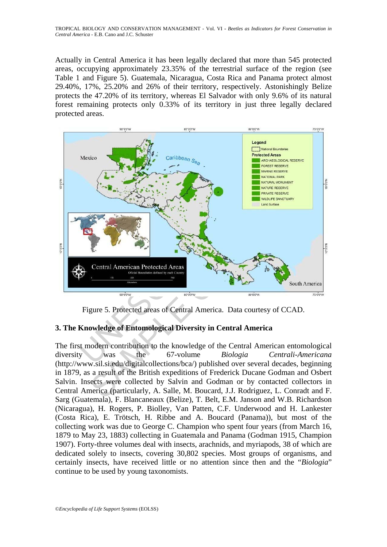Actually in Central America it has been legally declared that more than 545 protected areas, occupying approximately 23.35% of the terrestrial surface of the region (see Table 1 and Figure 5). Guatemala, Nicaragua, Costa Rica and Panama protect almost 29.40%, 17%, 25.20% and 26% of their territory, respectively. Astonishingly Belize protects the 47.20% of its territory, whereas El Salvador with only 9.6% of its natural forest remaining protects only 0.33% of its territory in just three legally declared protected areas.



Figure 5. Protected areas of Central America. Data courtesy of CCAD.

## **3. The Knowledge of Entomological Diversity in Central America**

The first modern contribution to the knowledge of the Central American entomological diversity was the 67-volume *Biologia Centrali-Americana* (http://www.sil.si.edu/digitalcollections/bca/) published over several decades, beginning in 1879, as a result of the British expeditions of Frederick Ducane Godman and Osbert Salvin. Insects were collected by Salvin and Godman or by contacted collectors in Central America (particularly, A. Salle, M. Boucard, J.J. Rodriguez, L. Conradt and F. Sarg (Guatemala), F. Blancaneaux (Belize), T. Belt, E.M. Janson and W.B. Richardson (Nicaragua), H. Rogers, P. Biolley, Van Patten, C.F. Underwood and H. Lankester (Costa Rica), E. Trötsch, H. Ribbe and A. Boucard (Panama)), but most of the collecting work was due to George C. Champion who spent four years (from March 16, 1879 to May 23, 1883) collecting in Guatemala and Panama (Godman 1915, Champion 1907). Forty-three volumes deal with insects, arachnids, and myriapods, 38 of which are dedicated solely to insects, covering 30,802 species. Most groups of organisms, and certainly insects, have received little or no attention since then and the "*Biologia*" continue to be used by young taxonomists.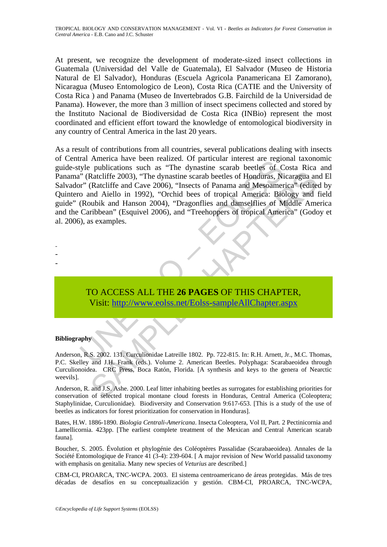At present, we recognize the development of moderate-sized insect collections in Guatemala (Universidad del Valle de Guatemala), El Salvador (Museo de Historia Natural de El Salvador), Honduras (Escuela Agricola Panamericana El Zamorano), Nicaragua (Museo Entomologico de Leon), Costa Rica (CATIE and the University of Costa Rica ) and Panama (Museo de Invertebrados G.B. Fairchild de la Universidad de Panama). However, the more than 3 million of insect specimens collected and stored by the Instituto Nacional de Biodiversidad de Costa Rica (INBio) represent the most coordinated and efficient effort toward the knowledge of entomological biodiversity in any country of Central America in the last 20 years.

an America nave useen fearact. Or particular interest are regionally by phylications such as "The dynastine scarab beetles of C<br>
"(Ratcliffe 2003), "The dynastine scarab beetles of Honduras, Niv" (Ratcliffe and Cave 2006), Raccliffe 2003), "The dynastine scarab beetles of Honduras, Nicaragua an (Raccliffe 2003), "The dynastine scarab beetles of Honduras, Nicaragua an Adello in 1992), "Orchid bees of tropical America." (edited<br>nubik and Hanso As a result of contributions from all countries, several publications dealing with insects of Central America have been realized. Of particular interest are regional taxonomic guide-style publications such as "The dynastine scarab beetles of Costa Rica and Panama" (Ratcliffe 2003), "The dynastine scarab beetles of Honduras, Nicaragua and El Salvador" (Ratcliffe and Cave 2006), "Insects of Panama and Mesoamerica" (edited by Quintero and Aiello in 1992), "Orchid bees of tropical America: Biology and field guide" (Roubik and Hanson 2004), "Dragonflies and damselflies of Middle America and the Caribbean" (Esquivel 2006), and "Treehoppers of tropical America" (Godoy et al. 2006), as examples.

TO ACCESS ALL THE **26 PAGES** OF THIS CHAPTER, Visit: http://www.eolss.net/Eolss-sampleAllChapter.aspx

#### **Bibliography**

- - -

Anderson, R.S. 2002. 131. Curculionidae Latreille 1802. Pp. 722-815. In: R.H. Arnett, Jr., M.C. Thomas, P.C. Skelley and J.H. Frank (eds.). Volume 2. American Beetles. Polyphaga: Scarabaeoidea through Curculionoidea. CRC Press, Boca Ratón, Florida. [A synthesis and keys to the genera of Nearctic weevils].

Anderson, R. and J.S. Ashe. 2000. Leaf litter inhabiting beetles as surrogates for establishing priorities for conservation of selected tropical montane cloud forests in Honduras, Central America (Coleoptera; Staphylinidae, Curculionidae). Biodiversity and Conservation 9:617-653. [This is a study of the use of beetles as indicators for forest prioritization for conservation in Honduras].

Bates, H.W. 1886-1890. *Biologia Centrali-Americana*. Insecta Coleoptera, Vol II, Part. 2 Pectinicornia and Lamellicornia. 423pp. [The earliest complete treatment of the Mexican and Central American scarab fauna].

Boucher, S. 2005. Évolution et phylogénie des Coléoptères Passalidae (Scarabaeoidea). Annales de la Société Entomologique de France 41 (3-4): 239-604. [ A major revision of New World passalid taxonomy with emphasis on genitalia. Many new species of *Veturius* are described.]

CBM-CI, PROARCA, TNC-WCPA. 2003. El sistema centroamericano de áreas protegidas. Más de tres décadas de desafíos en su conceptualización y gestión. CBM-CI, PROARCA, TNC-WCPA,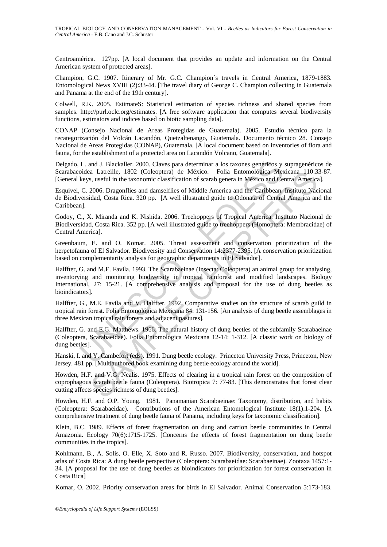Centroamérica. 127pp. [A local document that provides an update and information on the Central American system of protected areas].

Champion, G.C. 1907. Itinerary of Mr. G.C. Champion´s travels in Central America, 1879-1883. Entomological News XVIII (2):33-44. [The travel diary of George C. Champion collecting in Guatemala and Panama at the end of the 19th century].

Colwell, R.K. 2005. EstimateS: Statistical estimation of species richness and shared species from samples. http://purl.oclc.org/estimates. [A free software application that computes several biodiversity functions, estimators and indices based on biotic sampling data].

CONAP (Consejo Nacional de Areas Protegidas de Guatemala). 2005. Estudio técnico para la recategorización del Volcán Lacandón, Quetzaltenango, Guatemala. Documento técnico 28. Consejo Nacional de Areas Protegidas (CONAP), Guatemala. [A local document based on inventories of flora and fauna, for the establishment of a protected area on Lacandón Volcano, Guatemala].

Delgado, L. and J. Blackaller. 2000. Claves para determinar a los taxones genéricos y supragenéricos de Scarabaeoidea Latreille, 1802 (Coleoptera) de México. Folia Entomológica Mexicana 110:33-87. [General keys, useful in the taxonomic classification of scarab genera in México and Central America].

Esquivel, C. 2006. Dragonflies and damselflies of Middle America and the Caribbean. Instituto Nacional de Biodiversidad, Costa Rica. 320 pp. [A well illustrated guide to Odonata of Central America and the Caribbean].

Godoy, C., X. Miranda and K. Nishida. 2006. Treehoppers of Tropical America. Instituto Nacional de Biodiversidad, Costa Rica. 352 pp. [A well illustrated guide to treehoppers (Homoptera: Membracidae) of Central America].

Greenbaum, E. and O. Komar. 2005. Threat assessment and conservation prioritization of the herpetofauna of El Salvador. Biodiversity and Conservation 14:2377-2395. [A conservation prioritization based on complementarity analysis for geographic departments in El Salvador].

L. and J. Blackaller. 2000. Claves para determinar a los taxones genéricos y<br>
ioidea Latreille, 1802 (Coleoptera) de México. Folia Entomológica Mes<br>
keys, useful in the taxonomic classification of scarab genera in México a a Latterile, 1802 (Colooptera) de México. Foila Entomológica Mexicana 110:3<br>
s, useful in the taxonomic classification of scarab genera in México and Central America<br>
2006. Dragonflies and damselflies of Middle America and Halffter, G. and M.E. Favila. 1993. The Scarabaeinae (Insecta: Coleoptera) an animal group for analysing, inventorying and monitoring biodiversity in tropical rainforest and modified landscapes. Biology International, 27: 15-21. [A comprehensive analysis and proposal for the use of dung beetles as bioindicators].

Halffter, G., M.E. Favila and V. Halffter. 1992. Comparative studies on the structure of scarab guild in tropical rain forest. Folia Entomológica Mexicana 84: 131-156. [An analysis of dung beetle assemblages in three Mexican tropical rain forests and adjacent pastures].

Halffter, G. and E.G. Matthews. 1966. The natural history of dung beetles of the subfamily Scarabaeinae (Coleoptera, Scarabaeidae). Folia Entomológica Mexicana 12-14: 1-312. [A classic work on biology of dung beetles].

Hanski, I. and Y. Cambefort (eds). 1991. Dung beetle ecology. Princeton University Press, Princeton, New Jersey. 481 pp. [Multiauthored book examining dung beetle ecology around the world].

Howden, H.F. and V.G. Nealis. 1975. Effects of clearing in a tropical rain forest on the composition of coprophagous scarab beetle fauna (Coleoptera). Biotropica 7: 77-83. [This demonstrates that forest clear cutting affects species richness of dung beetles].

Howden, H.F. and O.P. Young. 1981. Panamanian Scarabaeinae: Taxonomy, distribution, and habits (Coleoptera: Scarabaeidae). Contributions of the American Entomological Institute 18(1):1-204. [A comprehensive treatment of dung beetle fauna of Panama, including keys for taxonomic classification].

Klein, B.C. 1989. Effects of forest fragmentation on dung and carrion beetle communities in Central Amazonia. Ecology 70(6):1715-1725. [Concerns the effects of forest fragmentation on dung beetle communities in the tropics].

Kohlmann, B., A. Solís, O. Elle, X. Soto and R. Russo. 2007. Biodiversity, conservation, and hotspot atlas of Costa Rica: A dung beetle perspective (Coleoptera: Scarabaeidae: Scarabaeinae). Zootaxa 1457:1- 34. [A proposal for the use of dung beetles as bioindicators for prioritization for forest conservation in Costa Rica]

Komar, O. 2002. Priority conservation areas for birds in El Salvador. Animal Conservation 5:173-183.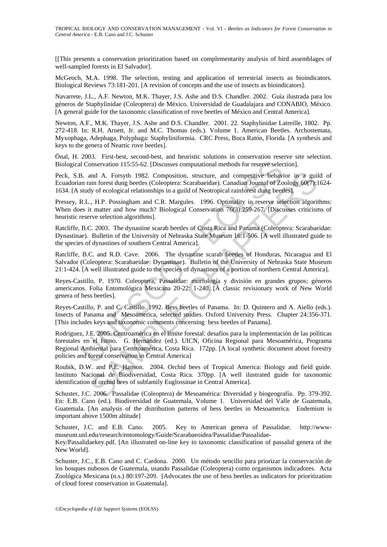[[This presents a conservation prioritization based on complementarity analysis of bird assemblages of well-sampled forests in El Salvador].

McGeoch, M.A. 1998. The selection, testing and application of terrestrial insects as bioindicators. Biological Reviews 73:181-201. [A revision of concepts and the use of insects as bioindicators].

Navarrete, J.L., A.F. Newton, M.K. Thayer, J.S. Ashe and D.S. Chandler. 2002. Guía ilustrada para los géneros de Staphylinidae (Coleoptera) de México. Universidad de Guadalajara and CONABIO, México. [A general guide for the taxonomic classification of rove beetles of México and Central America].

Newton, A.F., M.K. Thayer, J.S. Ashe and D.S. Chandler. 2001. 22. Staphylinidae Latreille, 1802. Pp. 272-418. In: R.H. Arnett, Jr. and M.C. Thomas (eds.). Volume 1. American Beetles. Archostemata, Myxophaga, Adephaga, Polyphaga: Staphyliniformia. CRC Press, Boca Ratón, Florida. [A synthesis and keys to the genera of Neartic rove beetles].

Önal, H. 2003. First-best, second-best, and heuristic solutions in conservation reserve site selection. Biological Conservation 115:55-62. [Discusses computational methods for reserve selection].

Peck, S.B. and A. Forsyth 1982. Composition, structure, and competitive behavior in a guild of Ecuadorian rain forest dung beetles (Coleoptera: Scarabaeidae). Canadian Journal of Zoology 60(7):1624- 1634. [A study of ecological relationships in a guild of Neotropical rainforest dung beetles].

Pressey, R.L., H.P. Possingham and C.R. Margules. 1996. Optimality in reserve selection algorithms: When does it matter and how much? Biological Conservation 76(3):259-267. [Discusses criticisms of heuristic reserve selection algorithms].

Ratcliffe, B.C. 2003. The dynastine scarab beetles of Costa Rica and Panama (Coleoptera: Scarabaeidae: Dynastinae). Bulletin of the University of Nebraska State Museum 16:1-506. [A well illustrated guide to the species of dynastines of southern Central America].

Ratcliffe, B.C. and R.D. Cave. 2006. The dynastine scarab beetles of Honduras, Nicaragua and El Salvador (Coleoptera: Scarabaeidae: Dynastinae). Bulletin of the University of Nebraska State Museum 21:1-424. [A well illustrated guide to the species of dynastines of a portion of northern Central America].

Reyes-Castillo, P. 1970. Coleoptera, Passalidae: morfología y división en grandes grupos; géneros americanos. Folia Entomológica Mexicana 20-22: 1-240. [A classic revisionary work of New World genera of bess beetles].

Reyes-Castillo, P. and C. Castillo. 1992. Bess beetles of Panama. In: D. Quintero and A. Aiello (eds.). Insects of Panama and Mesoamerica, selected studies. Oxford University Press. Chapter 24:356-371. [This includes keys and taxonomic comments concerning bess beetles of Panama].

1 Conservation 115:55-62. Discusses computational methods for reserve selection and A. Forsyth 1982. Composition, structure, and competitive behavior an rain forest dung beetles (Coleoptera: Scarabaeidae). Canadian Journal and A. Forsyth 1982. Composition, structure, and competitive behavior in a guilar of the subset done betels (Coleoptera: Scarabaedicale.) Canadiar Journal of Zoloogics of Chapter Subsets (Coleopter and Davant Devolugion (F Rodriguez, J.E. 2005. Centroamérica en el límite forestal: desafíos para la implementación de las políticas forestales en el Istmo. G. Hernández (ed.). UICN, Oficina Regional para Mesoamérica, Programa Regional Ambiental para Centroamérica, Costa Rica. 172pp. [A local synthetic document about forestry policies and forest conservation in Central America]

Roubik, D.W. and P.E. Hanson. 2004. Orchid bees of Tropical America: Biology and field guide. Instituto Nacional de Biodiversidad, Costa Rica. 370pp. [A well ilustrated guide for taxonomic identification of orchid bees of subfamily Euglossinae in Central America].

Schuster, J.C. 2006. Passalidae (Coleoptera) de Mesoamérica: Diversidad y biogeografía. Pp. 379-392. En: E.B. Cano (ed.). Biodiversidad de Guatemala, Volume 1. Universidad del Valle de Guatemala, Guatemala. [An analysis of the distribution patterns of bess beetles in Mesoamerica. Endemism is important above 1500m altitude]

Schuster, J.C. and E.B. Cano. 2005. Key to American genera of Passalidae. http://wwwmuseum.unl.edu/research/entomology/Guide/Scarabaeoidea/Passalidae/Passalidae-

Key/Passalidaekey.pdf. [An illustrated on-line key to taxonomic classification of passalid genera of the New World].

Schuster, J.C., E.B. Cano and C. Cardona. 2000. Un método sencillo para priorizar la conservación de los bosques nubosos de Guatemala, usando Passalidae (Coleoptera) como organismos indicadores. Acta Zoológica Mexicana (n.s.) 80:197-209. [Advocates the use of bess beetles as indicators for prioritization of cloud forest conservation in Guatemala].